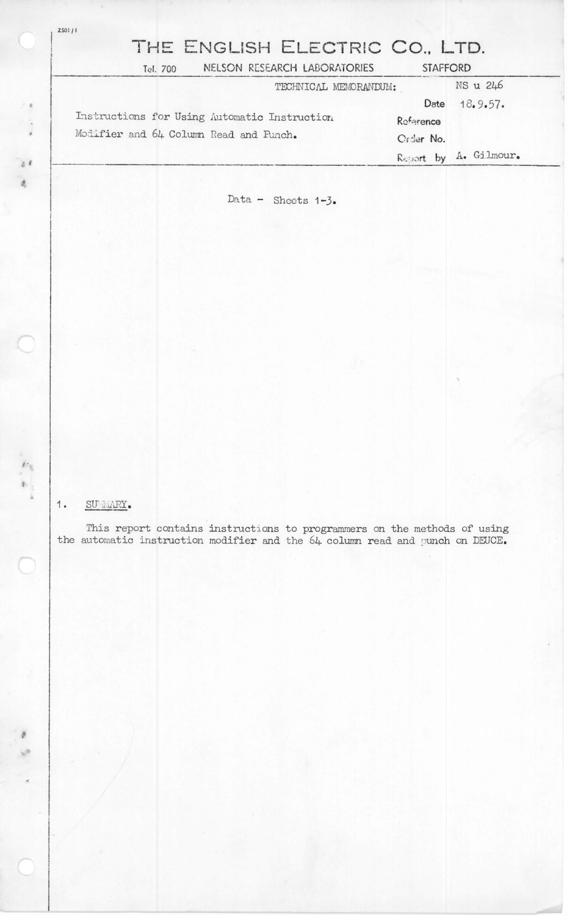| THE ENGLISH ELECTRIC CO., LTD.               |                          |
|----------------------------------------------|--------------------------|
| NELSON RESEARCH LABORATORIES<br>Tel. 700     | <b>STAFFORD</b>          |
| TECHNICAL MEMORANDUM:                        | NS u 246                 |
|                                              | 18.9.57.<br>Date         |
| Instructions for Using Automatic Instruction | Reference                |
| Modifier and 64 Column Read and Funch.       | Crder No.                |
|                                              | A. Gilmour.<br>Report by |

Data - Sheets  $1-3$ .

## SU LLARY.  $1.$

 $\mathcal{A}$  is  $\bar{a}$ 

 $\frac{1}{2}$ 

This report contains instructions to programmers on the methods of using the automatic instruction modifier and the  $64$  column read and punch on DEUCE.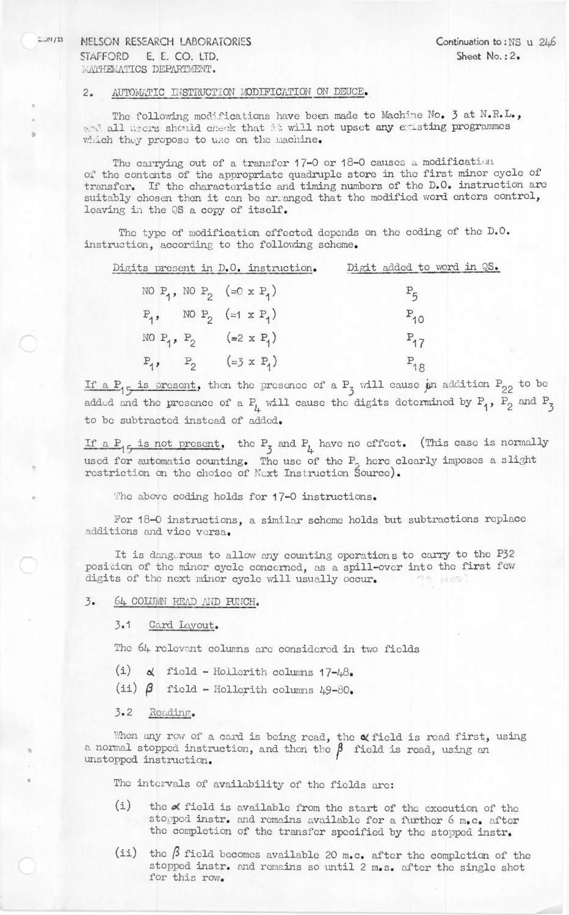## 2.201/23 NELSON RESEARCH LABORATORIES Continuation to:NS u 246 STAFFORD E. E. CO. LTD. Sheet No.: 2. **WATHEMATICS DEPARTMENT.**

## 2. AUTOMATIC INSTRUCTION MODIFICATION ON DEUCE.

The following modifications have been made to Machine No. 3 at N.R.L., and all users should check that it will not upset any existing programmes which they propose to use on the machine.

The carrying out of a transfer 17-0 or 18-0 causes a modification of the contents of the appropriate quadruple store in the first minor cycle of transfer. If the characteristic and timing numbers of the D.O. instruction are suitably chosen then it can be arranged that the modified word enters control, leaving in the QS a copy of itself.

The type of modification effected depends on the coding of the D.O. instruction, according to the following scheme.

|  | Digits present in D.O. instruction.                       | Digit added to word in QS. |  |
|--|-----------------------------------------------------------|----------------------------|--|
|  | NO $P_1$ , NO $P_2$ (=0 x $P_1$ )                         | $P_5$                      |  |
|  | $P_1$ , NO $P_2$ (=1 x $P_1$ )                            | $P_{10}$                   |  |
|  | NO P <sub>1</sub> , P <sub>2</sub> (=2 x P <sub>1</sub> ) | $P_{17}$                   |  |
|  | $P_1$ , $P_2$ (=3 x P <sub>1</sub> )                      | $P_{18}$                   |  |

If a P<sub>1</sub> is present, then the presence of a P<sub>2</sub> will cause an addition P<sub>22</sub> to be added and the presence of a  $P^{\mu}_{\mu}$  will cause the digits determined by  $P^{\mu}_{1}$ ,  $P^{\mu}_{2}$  and  $P^{\mu}_{3}$ to be subtracted instead of added.

If a P<sub>1</sub> 5 is not present, the P<sub>3</sub> and P<sub>4</sub> have no effect. (This case is normally used for automatic counting. The use of the P, here clearly imposes a slight restriction cn the choice of Next Instruction Source).

The above coding holds for 17-0 instructions.

For 18-0 instructions, a similar scheme holds but subtractions replace additions and vice versa.

It is dangerous to allow any counting operations to carry to the P32 posicion of the minor cycle concerned, as a spill-over into the first few digits of the next minor cycle will usually occur.

3. 6k COLUMN READ AND PUNCH.

3.1 Card Layout.

The 6k relevant colunns are considered in two fields

- (i)  $\alpha$  field Hollerith columns  $17-\frac{18}{6}$
- (ii)  $\beta$  field Hollerith columns 49-80.

3.2 Reading.

When any row of a card is being read, the  $\alpha$  field is read first, using a normal stopped instruction, and then the  $\beta$  field is read, using an when in the proposed instruction.

The intervals of availability of the fields are:

- (i) the  $\alpha$  field is available from the start of the execution of the stopped instr. and remains available for a further 6 m.c. after the completion of the transfer specified by the stopped instr.
- (ii) the  $\beta$  field becomes available 20 m.c. after the completion of the stopped instr. and remains so until <sup>2</sup> m.s. after the single shot for this row.